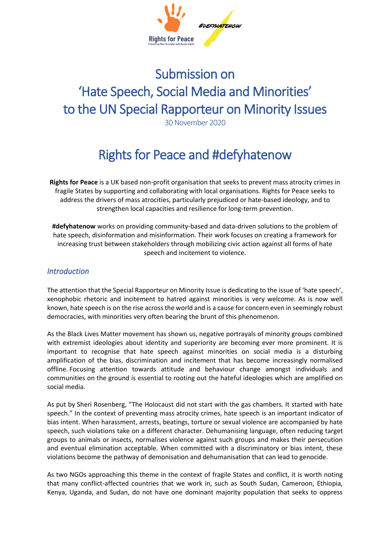

# Submission on 'Hate Speech, Social Media and Minorities' to the UN Special Rapporteur on Minority Issues

30 November 2020

## Rights for Peace and #defyhatenow

**Rights for Peace** is a UK based non-profit organisation that seeks to prevent mass atrocity crimes in fragile States by supporting and collaborating with local organisations. Rights for Peace seeks to address the drivers of mass atrocities, particularly prejudiced or hate-based ideology, and to strengthen local capacities and resilience for long-term prevention.

**#defyhatenow** works on providing community-based and data-driven solutions to the problem of hate speech, disinformation and misinformation. Their work focuses on creating a framework for increasing trust between stakeholders through mobilizing civic action against all forms of hate speech and incitement to violence.

## *Introduction*

The attention that the Special Rapporteur on Minority Issue is dedicating to the issue of 'hate speech', xenophobic rhetoric and incitement to hatred against minorities is very welcome. As is now well known, hate speech is on the rise across the world and is a cause for concern even in seemingly robust democracies, with minorities very often bearing the brunt of this phenomenon.

As the Black Lives Matter movement has shown us, negative portrayals of minority groups combined with extremist ideologies about identity and superiority are becoming ever more prominent. It is important to recognise that hate speech against minorities on social media is a disturbing amplification of the bias, discrimination and incitement that has become increasingly normalised offline. Focusing attention towards attitude and behaviour change amongst individuals and communities on the ground is essential to rooting out the hateful ideologies which are amplified on social media.

As put by Sheri Rosenberg, "The Holocaust did not start with the gas chambers. It started with hate speech." In the context of preventing mass atrocity crimes, hate speech is an important indicator of bias intent. When harassment, arrests, beatings, torture or sexual violence are accompanied by hate speech, such violations take on a different character. Dehumanising language, often reducing target groups to animals or insects, normalises violence against such groups and makes their persecution and eventual elimination acceptable. When committed with a discriminatory or bias intent, these violations become the pathway of demonisation and dehumanisation that can lead to genocide.

As two NGOs approaching this theme in the context of fragile States and conflict, it is worth noting that many conflict-affected countries that we work in, such as South Sudan, Cameroon, Ethiopia, Kenya, Uganda, and Sudan, do not have one dominant majority population that seeks to oppress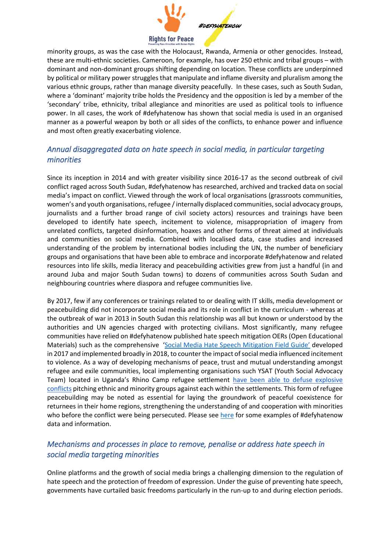

minority groups, as was the case with the Holocaust, Rwanda, Armenia or other genocides. Instead, these are multi-ethnic societies. Cameroon, for example, has over 250 ethnic and tribal groups – with dominant and non-dominant groups shifting depending on location. These conflicts are underpinned by political or military power struggles that manipulate and inflame diversity and pluralism among the various ethnic groups, rather than manage diversity peacefully. In these cases, such as South Sudan, where a 'dominant' majority tribe holds the Presidency and the opposition is led by a member of the 'secondary' tribe, ethnicity, tribal allegiance and minorities are used as political tools to influence power. In all cases, the work of #defyhatenow has shown that social media is used in an organised manner as a powerful weapon by both or all sides of the conflicts, to enhance power and influence and most often greatly exacerbating violence.

## *Annual disaggregated data on hate speech in social media, in particular targeting minorities*

Since its inception in 2014 and with greater visibility since 2016-17 as the second outbreak of civil conflict raged across South Sudan, #defyhatenow has researched, archived and tracked data on social media's impact on conflict. Viewed through the work of local organisations (grassroots communities, women's and youth organisations, refugee / internally displaced communities, social advocacy groups, journalists and a further broad range of civil society actors) resources and trainings have been developed to identify hate speech, incitement to violence, misappropriation of imagery from unrelated conflicts, targeted disinformation, hoaxes and other forms of threat aimed at individuals and communities on social media. Combined with localised data, case studies and increased understanding of the problem by international bodies including the UN, the number of beneficiary groups and organisations that have been able to embrace and incorporate #defyhatenow and related resources into life skills, media literacy and peacebuilding activities grew from just a handful (in and around Juba and major South Sudan towns) to dozens of communities across South Sudan and neighbouring countries where diaspora and refugee communities live.

By 2017, few if any conferences or trainings related to or dealing with IT skills, media development or peacebuilding did not incorporate social media and its role in conflict in the curriculum - whereas at the outbreak of war in 2013 in South Sudan this relationship was all but known or understood by the authorities and UN agencies charged with protecting civilians. Most significantly, many refugee communities have relied on #defyhatenow published hate speech mitigation OERs (Open Educational Materials) such as the comprehensive ['Social Media Hate Speech Mitigation Field Guide'](https://defyhatenow.org/defyhatenow-field-guide-cameroon/) developed in 2017 and implemented broadly in 2018, to counter the impact of social media influenced incitement to violence. As a way of developing mechanisms of peace, trust and mutual understanding amongst refugee and exile communities, local implementing organisations such YSAT (Youth Social Advocacy Team) located in Uganda's Rhino Camp refugee settlement [have been able to defuse explosive](https://africanarguments.org/2018/12/14/south-sudan-refugees-divided-peace/?fbclid=IwAR3LNb6jV9wpcpIaapfzUNznbsK0UXPayw_9LdaYxLeFGgSAc68O9063dgE)  [conflicts](https://africanarguments.org/2018/12/14/south-sudan-refugees-divided-peace/?fbclid=IwAR3LNb6jV9wpcpIaapfzUNznbsK0UXPayw_9LdaYxLeFGgSAc68O9063dgE) pitching ethnic and minority groups against each within the settlements. This form of refugee peacebuilding may be noted as essential for laying the groundwork of peaceful coexistence for returnees in their home regions, strengthening the understanding of and cooperation with minorities who before the conflict were being persecuted. Please see [here](https://defyhatenow.org/posters/) for some examples of #defyhatenow data and information.

## *Mechanisms and processes in place to remove, penalise or address hate speech in social media targeting minorities*

Online platforms and the growth of social media brings a challenging dimension to the regulation of hate speech and the protection of freedom of expression. Under the guise of preventing hate speech, governments have curtailed basic freedoms particularly in the run-up to and during election periods.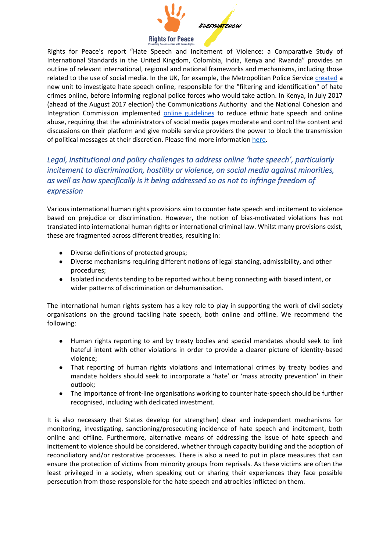

Rights for Peace's report "Hate Speech and Incitement of Violence: a Comparative Study of International Standards in the United Kingdom, Colombia, India, Kenya and Rwanda" provides an outline of relevant international, regional and national frameworks and mechanisms, including those related to the use of social media. In the UK, for example, the Metropolitan Police Service [created](https://www.wired.co.uk/article/police-online-hate-crime-hub-met-police) a new unit to investigate hate speech online, responsible for the "filtering and identification" of hate crimes online, before informing regional police forces who would take action. In Kenya, in July 2017 (ahead of the August 2017 election) the Communications Authority and the National Cohesion and Integration Commission implemented [online guidelines](https://ca.go.ke/wp-content/uploads/2018/02/Guidelines-on-Prevention-of-Dissemination-of-Undesirable-Bulk-and-Premium-Rate-Political-Messages-and-Political-Social-Media-Content-Via-Electronic-Networks-1.pdf) to reduce ethnic hate speech and online abuse, requiring that the administrators of social media pages moderate and control the content and discussions on their platform and give mobile service providers the power to block the transmission of political messages at their discretion. Please find more information [here.](https://www.rightsforpeace.org/reports)

## *Legal, institutional and policy challenges to address online 'hate speech', particularly incitement to discrimination, hostility or violence, on social media against minorities, as well as how specifically is it being addressed so as not to infringe freedom of expression*

Various international human rights provisions aim to counter hate speech and incitement to violence based on prejudice or discrimination. However, the notion of bias-motivated violations has not translated into international human rights or international criminal law. Whilst many provisions exist, these are fragmented across different treaties, resulting in:

- Diverse definitions of protected groups;
- Diverse mechanisms requiring different notions of legal standing, admissibility, and other procedures;
- Isolated incidents tending to be reported without being connecting with biased intent, or wider patterns of discrimination or dehumanisation.

The international human rights system has a key role to play in supporting the work of civil society organisations on the ground tackling hate speech, both online and offline. We recommend the following:

- Human rights reporting to and by treaty bodies and special mandates should seek to link hateful intent with other violations in order to provide a clearer picture of identity-based violence;
- That reporting of human rights violations and international crimes by treaty bodies and mandate holders should seek to incorporate a 'hate' or 'mass atrocity prevention' in their outlook;
- The importance of front-line organisations working to counter hate-speech should be further recognised, including with dedicated investment.

It is also necessary that States develop (or strengthen) clear and independent mechanisms for monitoring, investigating, sanctioning/prosecuting incidence of hate speech and incitement, both online and offline. Furthermore, alternative means of addressing the issue of hate speech and incitement to violence should be considered, whether through capacity building and the adoption of reconciliatory and/or restorative processes. There is also a need to put in place measures that can ensure the protection of victims from minority groups from reprisals. As these victims are often the least privileged in a society, when speaking out or sharing their experiences they face possible persecution from those responsible for the hate speech and atrocities inflicted on them.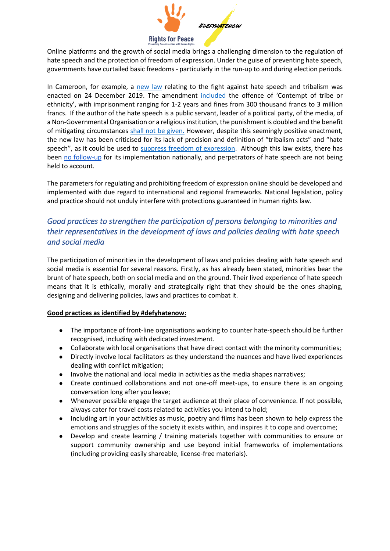

Online platforms and the growth of social media brings a challenging dimension to the regulation of hate speech and the protection of freedom of expression. Under the guise of preventing hate speech, governments have curtailed basic freedoms - particularly in the run-up to and during election periods.

In Cameroon, for example, a [new law](https://www.prc.cm/en/multimedia/documents/8027-law-2019-020-of-24-december-2019) relating to the fight against hate speech and tribalism was enacted on 24 December 2019. The amendment [included](https://www.journalducameroun.com/en/cameroon-paul-biya-enacts-law-to-punish-tribal-hate-specch/) the offence of 'Contempt of tribe or ethnicity', with imprisonment ranging for 1-2 years and fines from 300 thousand francs to 3 million francs. If the author of the hate speech is a public servant, leader of a political party, of the media, of a Non-Governmental Organisation or a religious institution, the punishment is doubled and the benefit of mitigating circumstances [shall not be given.](https://www.journalducameroun.com/en/cameroon-paul-biya-enacts-law-to-punish-tribal-hate-specch/) However, despite this seemingly positive enactment, the new law has been criticised for its lack of precision and definition of "tribalism acts" and "hate speech", as it c[o](https://cipesa.org/?wpfb_dl=322)uld be used to [suppress freedom of expression.](https://cipesa.org/?wpfb_dl=322) Although this law exists, there has been [no follow-up](https://cipesa.org/?wpfb_dl=322) for its implementation nationally, and perpetrators of hate speech are not being held to account.

The parameters for regulating and prohibiting freedom of expression online should be developed and implemented with due regard to international and regional frameworks. National legislation, policy and practice should not unduly interfere with protections guaranteed in human rights law.

## *Good practices to strengthen the participation of persons belonging to minorities and their representatives in the development of laws and policies dealing with hate speech and social media*

The participation of minorities in the development of laws and policies dealing with hate speech and social media is essential for several reasons. Firstly, as has already been stated, minorities bear the brunt of hate speech, both on social media and on the ground. Their lived experience of hate speech means that it is ethically, morally and strategically right that they should be the ones shaping, designing and delivering policies, laws and practices to combat it.

### **Good practices as identified by #defyhatenow:**

- The importance of front-line organisations working to counter hate-speech should be further recognised, including with dedicated investment.
- Collaborate with local organisations that have direct contact with the minority communities;
- Directly involve local facilitators as they understand the nuances and have lived experiences dealing with conflict mitigation;
- Involve the national and local media in activities as the media shapes narratives;
- Create continued collaborations and not one-off meet-ups, to ensure there is an ongoing conversation long after you leave;
- Whenever possible engage the target audience at their place of convenience. If not possible, always cater for travel costs related to activities you intend to hold;
- Including art in your activities as music, poetry and films has been shown to help express the emotions and struggles of the society it exists within, and inspires it to cope and overcome;
- Develop and create learning / training materials together with communities to ensure or support community ownership and use beyond initial frameworks of implementations (including providing easily shareable, license-free materials).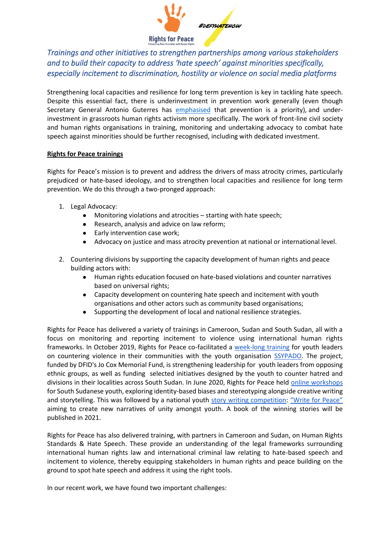

*Trainings and other initiatives to strengthen partnerships among various stakeholders and to build their capacity to address 'hate speech' against minorities specifically, especially incitement to discrimination, hostility or violence on social media platforms* 

Strengthening local capacities and resilience for long term prevention is key in tackling hate speech. Despite this essential fact, there is underinvestment in prevention work generally (even though Secretary General Antonio Guterres has [emphasised](https://www.un.org/press/en/2017/sc12673.doc.htm) that prevention is a priority), and underinvestment in grassroots human rights activism more specifically. The work of front-line civil society and human rights organisations in training, monitoring and undertaking advocacy to combat hate speech against minorities should be further recognised, including with dedicated investment.

#### **Rights for Peace trainings**

Rights for Peace's mission is to prevent and address the drivers of mass atrocity crimes, particularly prejudiced or hate-based ideology, and to strengthen local capacities and resilience for long term prevention. We do this through a two-pronged approach:

- 1. Legal Advocacy:
	- Monitoring violations and atrocities  $-$  starting with hate speech;
	- Research, analysis and advice on law reform;
	- Early intervention case work;
	- Advocacy on justice and mass atrocity prevention at national or international level.
- 2. Countering divisions by supporting the capacity development of human rights and peace building actors with:
	- Human rights education focused on hate-based violations and counter narratives based on universal rights;
	- Capacity development on countering hate speech and incitement with youth organisations and other actors such as community based organisations;
	- Supporting the development of local and national resilience strategies.

Rights for Peace has delivered a variety of trainings in Cameroon, Sudan and South Sudan, all with a focus on monitoring and reporting incitement to violence using international human rights frameworks. In October 2019, Rights for Peace co-facilitated a [week-long training](https://www.rightsforpeace.org/post/countering-hate-based-violence-in-south-sudan) for youth leaders on countering violence in their communities with the youth organisatio[n](http://www.ssypado.org/) [SSYPADO.](http://www.ssypado.org/) The project, funded by DFID's Jo Cox Memorial Fund, is strengthening leadership for youth leaders from opposing ethnic groups, as well as funding selected initiatives designed by the youth to counter hatred and divisions in their localities across South Sudan. In June 2020, Rights for Peace held [online workshops](https://www.rightsforpeace.org/writeforpeace) for South Sudanese youth, exploring identity-based biases and stereotyping alongside creative writing and storytelling. This was followed by a national youth [story writing competition:](https://www.rightsforpeace.org/writeforpeace) ["Write for Peace"](https://www.rightsforpeace.org/writeforpeace)  aiming to create new narratives of unity amongst youth. A book of the winning stories will be published in 2021.

Rights for Peace has also delivered training, with partners in Cameroon and Sudan, on Human Rights Standards & Hate Speech. These provide an understanding of the legal frameworks surrounding international human rights law and international criminal law relating to hate-based speech and incitement to violence, thereby equipping stakeholders in human rights and peace building on the ground to spot hate speech and address it using the right tools.

In our recent work, we have found two important challenges: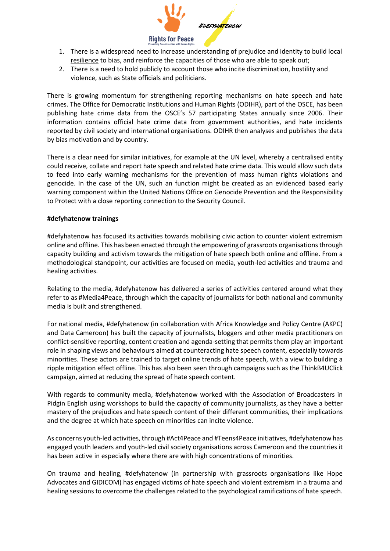

- 1. There is a widespread need to increase understanding of prejudice and identity to build local resilience to bias, and reinforce the capacities of those who are able to speak out;
- 2. There is a need to hold publicly to account those who incite discrimination, hostility and violence, such as State officials and politicians.

There is growing momentum for strengthening reporting mechanisms on hate speech and hate crimes. The Office for Democratic Institutions and Human Rights (ODIHR), part of the OSCE, has been publishing hate crime data from the OSCE's 57 participating States annually since 2006. Their information contains official hate crime data from government authorities, and hate incidents reported by civil society and international organisations. ODIHR then analyses and publishes the data by bias motivation and by country.

There is a clear need for similar initiatives, for example at the UN level, whereby a centralised entity could receive, collate and report hate speech and related hate crime data. This would allow such data to feed into early warning mechanisms for the prevention of mass human rights violations and genocide. In the case of the UN, such an function might be created as an evidenced based early warning component within the United Nations Office on Genocide Prevention and the Responsibility to Protect with a close reporting connection to the Security Council.

#### **#defyhatenow trainings**

#defyhatenow has focused its activities towards mobilising civic action to counter violent extremism online and offline. This has been enacted through the empowering of grassroots organisations through capacity building and activism towards the mitigation of hate speech both online and offline. From a methodological standpoint, our activities are focused on media, youth-led activities and trauma and healing activities.

Relating to the media, #defyhatenow has delivered a series of activities centered around what they refer to as #Media4Peace, through which the capacity of journalists for both national and community media is built and strengthened.

For national media, #defyhatenow (in collaboration with Africa Knowledge and Policy Centre (AKPC) and Data Cameroon) has built the capacity of journalists, bloggers and other media practitioners on conflict-sensitive reporting, content creation and agenda-setting that permits them play an important role in shaping views and behaviours aimed at counteracting hate speech content, especially towards minorities. These actors are trained to target online trends of hate speech, with a view to building a ripple mitigation effect offline. This has also been seen through campaigns such as the ThinkB4UClick campaign, aimed at reducing the spread of hate speech content.

With regards to community media, #defyhatenow worked with the Association of Broadcasters in Pidgin English using workshops to build the capacity of community journalists, as they have a better mastery of the prejudices and hate speech content of their different communities, their implications and the degree at which hate speech on minorities can incite violence.

As concerns youth-led activities, through #Act4Peace and #Teens4Peace initiatives, #defyhatenow has engaged youth leaders and youth-led civil society organisations across Cameroon and the countries it has been active in especially where there are with high concentrations of minorities.

On trauma and healing, #defyhatenow (in partnership with grassroots organisations like Hope Advocates and GIDICOM) has engaged victims of hate speech and violent extremism in a trauma and healing sessions to overcome the challenges related to the psychological ramifications of hate speech.